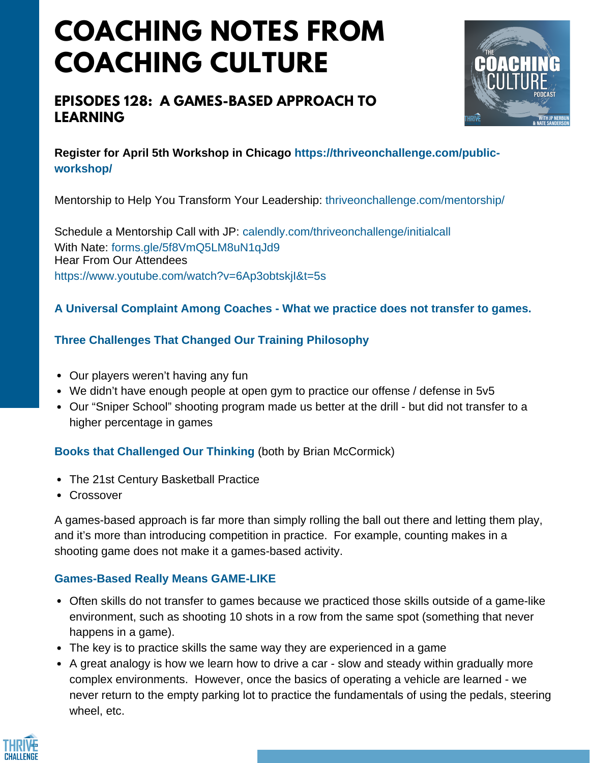# **COACHING NOTES FROM COACHING CULTURE**

# **EPISODES 128: A GAMES-BASED APPROACH TO LEARNING**



## **Register for April 5th Workshop in Chicago https://thriveonchallenge.com/publicworkshop/**

Mentorship to Help You Transform Your Leadership: thriveonchallenge.com/mentorship/

Schedule a Mentorship Call with JP: calendly.com/thriveonchallenge/initialcall With Nate: forms.gle/5f8VmO5LM8uN1qJd9 Hear From Our Attendees https://www.youtube.com/watch?v=6Ap3obtskjI&t=5s

### **A Universal Complaint Among Coaches - What we practice does not transfer to games.**

### **Three Challenges That Changed Our Training Philosophy**

- Our players weren't having any fun
- We didn't have enough people at open gym to practice our offense / defense in 5v5
- Our "Sniper School" shooting program made us better at the drill but did not transfer to a higher percentage in games

## **Books that Challenged Our Thinking** (both by Brian McCormick)

- The 21st Century [Basketball](https://www.amazon.com/21st-Century-Basketball-Practice-Modernizing-ebook/dp/B00PJRH6VA) Practice
- [Crossover](https://www.amazon.com/gp/product/0557025885/ref=dbs_a_def_rwt_bibl_vppi_i0)

A games-based approach is far more than simply rolling the ball out there and letting them play, and it's more than introducing competition in practice. For example, counting makes in a shooting game does not make it a games-based activity.

#### **Games-Based Really Means GAME-LIKE**

- Often skills do not transfer to games because we practiced those skills outside of a game-like environment, such as shooting 10 shots in a row from the same spot (something that never happens in a game).
- The key is to practice skills the same way they are experienced in a game
- A great analogy is how we learn how to drive a car slow and steady within gradually more complex environments. However, once the basics of operating a vehicle are learned - we never return to the empty parking lot to practice the fundamentals of using the pedals, steering wheel, etc.

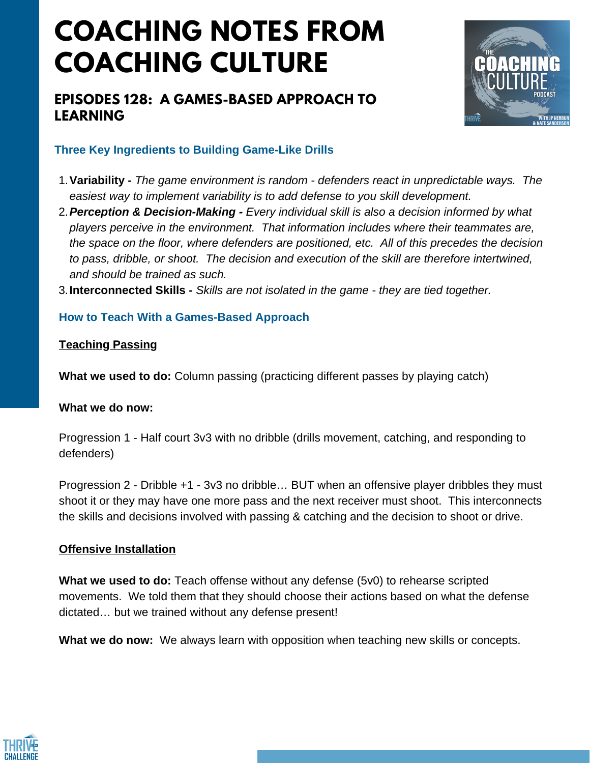# **COACHING NOTES FROM COACHING CULTURE**

# **EPISODES 128: A GAMES-BASED APPROACH TO LEARNING**



#### **Three Key Ingredients to Building Game-Like Drills**

- **Variability -** *The game environment is random - defenders react in unpredictable ways. The* 1. *easiest way to implement variability is to add defense to you skill development.*
- *Perception & Decision-Making - Every individual skill is also a decision informed by what* 2. *players perceive in the environment. That information includes where their teammates are, the space on the floor, where defenders are positioned, etc. All of this precedes the decision to pass, dribble, or shoot. The decision and execution of the skill are therefore intertwined, and should be trained as such.*

**Interconnected Skills -** *Skills are not isolated in the game - they are tied together.* 3.

#### **How to Teach With a Games-Based Approach**

#### **Teaching Passing**

**What we used to do:** Column passing (practicing different passes by playing catch)

#### **What we do now:**

Progression 1 - Half court 3v3 with no dribble (drills movement, catching, and responding to defenders)

Progression 2 - Dribble +1 - 3v3 no dribble… BUT when an offensive player dribbles they must shoot it or they may have one more pass and the next receiver must shoot. This interconnects the skills and decisions involved with passing & catching and the decision to shoot or drive.

#### **Offensive Installation**

**What we used to do:** Teach offense without any defense (5v0) to rehearse scripted movements. We told them that they should choose their actions based on what the defense dictated… but we trained without any defense present!

**What we do now:** We always learn with opposition when teaching new skills or concepts.